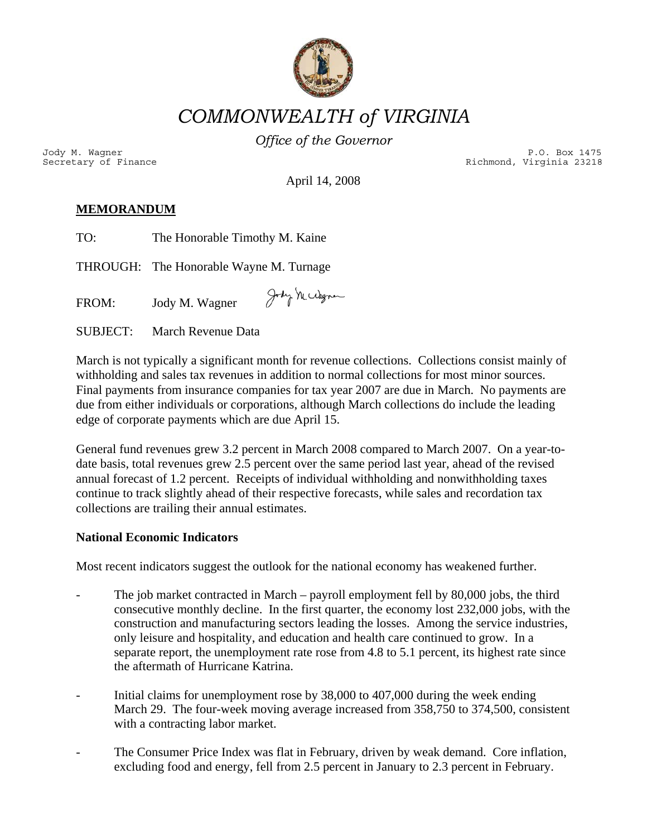

*COMMONWEALTH of VIRGINIA* 

*Office of the Governor*

Jody M. Wagner P.O. Box 1475<br>Secretary of Finance external property of the secretary of Finance external property of the secretary of  $\Gamma$ Richmond, Virginia 23218

April 14, 2008

# **MEMORANDUM**

| TO: | The Honorable Timothy M. Kaine |
|-----|--------------------------------|
|-----|--------------------------------|

THROUGH: The Honorable Wayne M. Turnage

Jody Michagne FROM: Jody M. Wagner

SUBJECT: March Revenue Data

March is not typically a significant month for revenue collections. Collections consist mainly of withholding and sales tax revenues in addition to normal collections for most minor sources. Final payments from insurance companies for tax year 2007 are due in March. No payments are due from either individuals or corporations, although March collections do include the leading edge of corporate payments which are due April 15.

General fund revenues grew 3.2 percent in March 2008 compared to March 2007. On a year-todate basis, total revenues grew 2.5 percent over the same period last year, ahead of the revised annual forecast of 1.2 percent. Receipts of individual withholding and nonwithholding taxes continue to track slightly ahead of their respective forecasts, while sales and recordation tax collections are trailing their annual estimates.

## **National Economic Indicators**

Most recent indicators suggest the outlook for the national economy has weakened further.

- The job market contracted in March payroll employment fell by 80,000 jobs, the third consecutive monthly decline. In the first quarter, the economy lost 232,000 jobs, with the construction and manufacturing sectors leading the losses. Among the service industries, only leisure and hospitality, and education and health care continued to grow. In a separate report, the unemployment rate rose from 4.8 to 5.1 percent, its highest rate since the aftermath of Hurricane Katrina.
- Initial claims for unemployment rose by 38,000 to 407,000 during the week ending March 29. The four-week moving average increased from 358,750 to 374,500, consistent with a contracting labor market.
- The Consumer Price Index was flat in February, driven by weak demand. Core inflation, excluding food and energy, fell from 2.5 percent in January to 2.3 percent in February.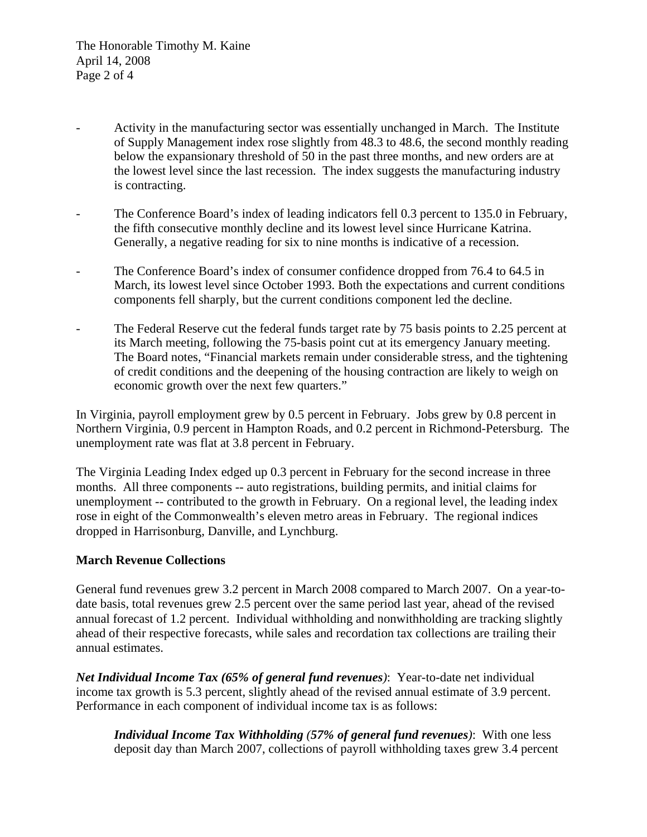The Honorable Timothy M. Kaine April 14, 2008 Page 2 of 4

- Activity in the manufacturing sector was essentially unchanged in March. The Institute of Supply Management index rose slightly from 48.3 to 48.6, the second monthly reading below the expansionary threshold of 50 in the past three months, and new orders are at the lowest level since the last recession. The index suggests the manufacturing industry is contracting.
- The Conference Board's index of leading indicators fell 0.3 percent to 135.0 in February, the fifth consecutive monthly decline and its lowest level since Hurricane Katrina. Generally, a negative reading for six to nine months is indicative of a recession.
- The Conference Board's index of consumer confidence dropped from 76.4 to 64.5 in March, its lowest level since October 1993. Both the expectations and current conditions components fell sharply, but the current conditions component led the decline.
- The Federal Reserve cut the federal funds target rate by 75 basis points to 2.25 percent at its March meeting, following the 75-basis point cut at its emergency January meeting. The Board notes, "Financial markets remain under considerable stress, and the tightening of credit conditions and the deepening of the housing contraction are likely to weigh on economic growth over the next few quarters."

In Virginia, payroll employment grew by 0.5 percent in February. Jobs grew by 0.8 percent in Northern Virginia, 0.9 percent in Hampton Roads, and 0.2 percent in Richmond-Petersburg. The unemployment rate was flat at 3.8 percent in February.

The Virginia Leading Index edged up 0.3 percent in February for the second increase in three months. All three components -- auto registrations, building permits, and initial claims for unemployment -- contributed to the growth in February. On a regional level, the leading index rose in eight of the Commonwealth's eleven metro areas in February. The regional indices dropped in Harrisonburg, Danville, and Lynchburg.

### **March Revenue Collections**

General fund revenues grew 3.2 percent in March 2008 compared to March 2007. On a year-todate basis, total revenues grew 2.5 percent over the same period last year, ahead of the revised annual forecast of 1.2 percent. Individual withholding and nonwithholding are tracking slightly ahead of their respective forecasts, while sales and recordation tax collections are trailing their annual estimates.

*Net Individual Income Tax (65% of general fund revenues)*: Year-to-date net individual income tax growth is 5.3 percent, slightly ahead of the revised annual estimate of 3.9 percent. Performance in each component of individual income tax is as follows:

*Individual Income Tax Withholding (57% of general fund revenues)*: With one less deposit day than March 2007, collections of payroll withholding taxes grew 3.4 percent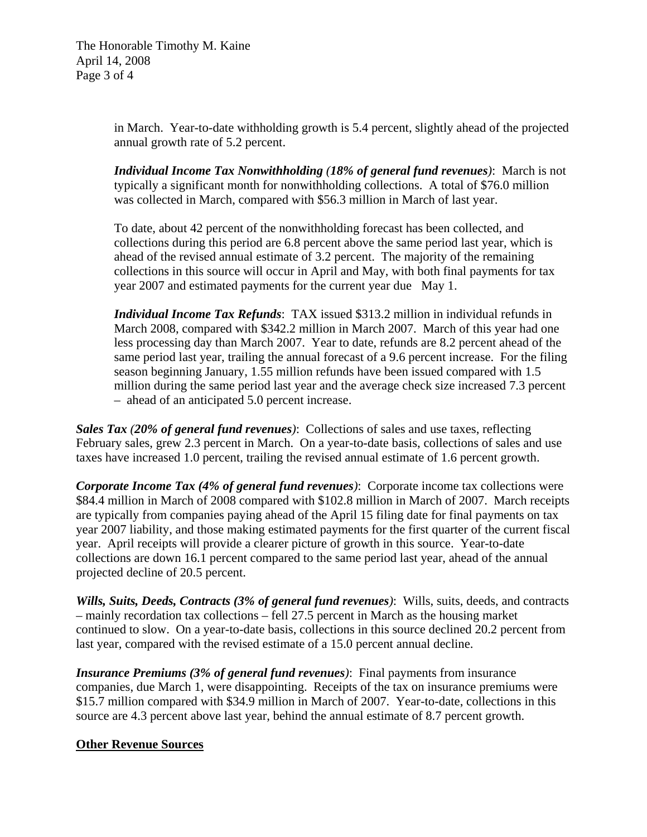The Honorable Timothy M. Kaine April 14, 2008 Page 3 of 4

> in March. Year-to-date withholding growth is 5.4 percent, slightly ahead of the projected annual growth rate of 5.2 percent.

> *Individual Income Tax Nonwithholding (18% of general fund revenues)*: March is not typically a significant month for nonwithholding collections. A total of \$76.0 million was collected in March, compared with \$56.3 million in March of last year.

To date, about 42 percent of the nonwithholding forecast has been collected, and collections during this period are 6.8 percent above the same period last year, which is ahead of the revised annual estimate of 3.2 percent. The majority of the remaining collections in this source will occur in April and May, with both final payments for tax year 2007 and estimated payments for the current year due May 1.

*Individual Income Tax Refunds*: TAX issued \$313.2 million in individual refunds in March 2008, compared with \$342.2 million in March 2007. March of this year had one less processing day than March 2007. Year to date, refunds are 8.2 percent ahead of the same period last year, trailing the annual forecast of a 9.6 percent increase. For the filing season beginning January, 1.55 million refunds have been issued compared with 1.5 million during the same period last year and the average check size increased 7.3 percent – ahead of an anticipated 5.0 percent increase.

*Sales Tax (20% of general fund revenues)*: Collections of sales and use taxes, reflecting February sales, grew 2.3 percent in March. On a year-to-date basis, collections of sales and use taxes have increased 1.0 percent, trailing the revised annual estimate of 1.6 percent growth.

*Corporate Income Tax (4% of general fund revenues)*: Corporate income tax collections were \$84.4 million in March of 2008 compared with \$102.8 million in March of 2007. March receipts are typically from companies paying ahead of the April 15 filing date for final payments on tax year 2007 liability, and those making estimated payments for the first quarter of the current fiscal year. April receipts will provide a clearer picture of growth in this source. Year-to-date collections are down 16.1 percent compared to the same period last year, ahead of the annual projected decline of 20.5 percent.

*Wills, Suits, Deeds, Contracts (3% of general fund revenues)*: Wills, suits, deeds, and contracts – mainly recordation tax collections – fell 27.5 percent in March as the housing market continued to slow. On a year-to-date basis, collections in this source declined 20.2 percent from last year, compared with the revised estimate of a 15.0 percent annual decline.

*Insurance Premiums (3% of general fund revenues)*: Final payments from insurance companies, due March 1, were disappointing. Receipts of the tax on insurance premiums were \$15.7 million compared with \$34.9 million in March of 2007. Year-to-date, collections in this source are 4.3 percent above last year, behind the annual estimate of 8.7 percent growth.

### **Other Revenue Sources**